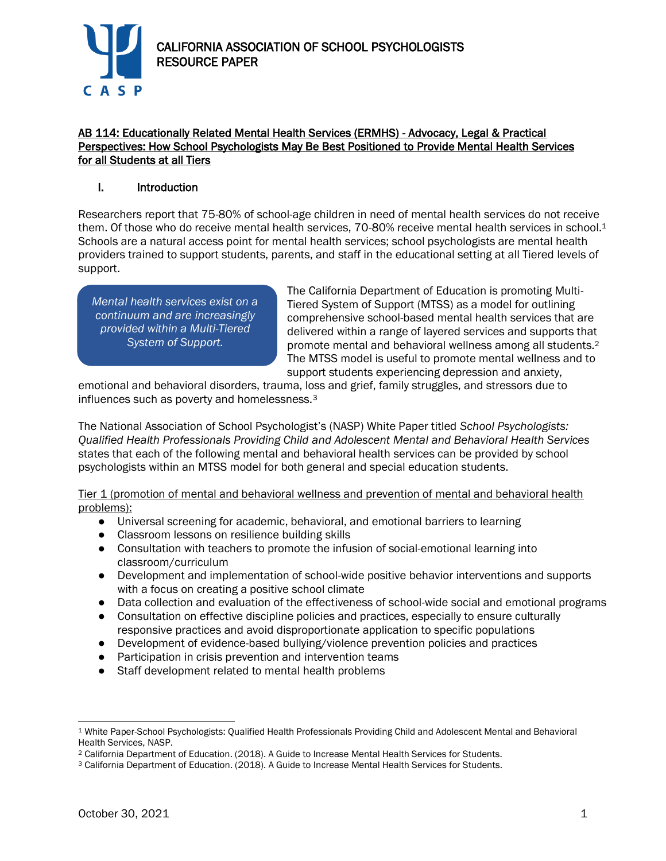

## AB 114: Educationally Related Mental Health Services (ERMHS) - Advocacy, Legal & Practical Perspectives: How School Psychologists May Be Best Positioned to Provide Mental Health Services for all Students at all Tiers

## I. Introduction

Researchers report that 75-80% of school-age children in need of mental health services do not receive them. Of those who do receive mental health services, 70-80% receive mental health services in school.<sup>1</sup> Schools are a natural access point for mental health services; school psychologists are mental health providers trained to support students, parents, and staff in the educational setting at all Tiered levels of support.

*Mental health services exist on a continuum and are increasingly provided within a Multi-Tiered System of Support.*

The California Department of Education is promoting Multi-Tiered System of Support (MTSS) as a model for outlining comprehensive school-based mental health services that are delivered within a range of layered services and supports that promote mental and behavioral wellness among all students.<sup>2</sup> The MTSS model is useful to promote mental wellness and to support students experiencing depression and anxiety,

emotional and behavioral disorders, trauma, loss and grief, family struggles, and stressors due to influences such as poverty and homelessness.<sup>3</sup>

The National Association of School Psychologist's (NASP) White Paper titled *School Psychologists: Qualified Health Professionals Providing Child and Adolescent Mental and Behavioral Health Services* states that each of the following mental and behavioral health services can be provided by school psychologists within an MTSS model for both general and special education students.

Tier 1 (promotion of mental and behavioral wellness and prevention of mental and behavioral health problems):

- Universal screening for academic, behavioral, and emotional barriers to learning
- Classroom lessons on resilience building skills
- Consultation with teachers to promote the infusion of social-emotional learning into classroom/curriculum
- Development and implementation of school-wide positive behavior interventions and supports with a focus on creating a positive school climate
- Data collection and evaluation of the effectiveness of school-wide social and emotional programs
- Consultation on effective discipline policies and practices, especially to ensure culturally responsive practices and avoid disproportionate application to specific populations
- Development of evidence-based bullying/violence prevention policies and practices
- Participation in crisis prevention and intervention teams
- Staff development related to mental health problems

<sup>1</sup> White Paper-School Psychologists: Qualified Health Professionals Providing Child and Adolescent Mental and Behavioral Health Services, NASP.

<sup>2</sup> California Department of Education. (2018). A Guide to Increase Mental Health Services for Students.

<sup>3</sup> California Department of Education. (2018). A Guide to Increase Mental Health Services for Students.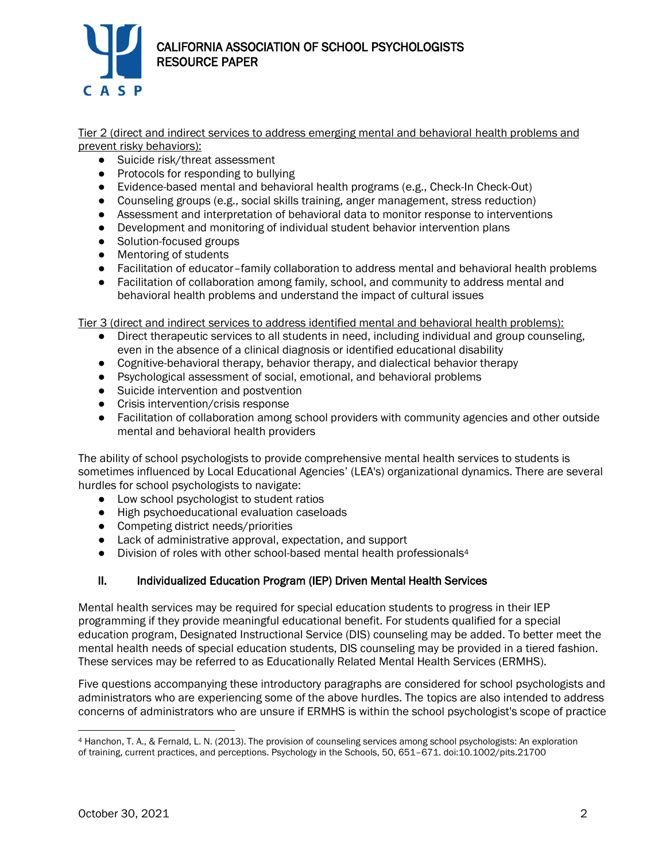

Tier 2 (direct and indirect services to address emerging mental and behavioral health problems and prevent risky behaviors):

- Suicide risk/threat assessment
- Protocols for responding to bullying
- Evidence-based mental and behavioral health programs (e.g., Check-In Check-Out)
- Counseling groups (e.g., social skills training, anger management, stress reduction)
- Assessment and interpretation of behavioral data to monitor response to interventions
- Development and monitoring of individual student behavior intervention plans
- Solution-focused groups
- Mentoring of students
- Facilitation of educator-family collaboration to address mental and behavioral health problems
- Facilitation of collaboration among family, school, and community to address mental and behavioral health problems and understand the impact of cultural issues

Tier 3 (direct and indirect services to address identified mental and behavioral health problems):

- Direct therapeutic services to all students in need, including individual and group counseling, even in the absence of a clinical diagnosis or identified educational disability
- Cognitive-behavioral therapy, behavior therapy, and dialectical behavior therapy
- Psychological assessment of social, emotional, and behavioral problems
- Suicide intervention and postvention
- Crisis intervention/crisis response
- Facilitation of collaboration among school providers with community agencies and other outside mental and behavioral health providers

The ability of school psychologists to provide comprehensive mental health services to students is sometimes influenced by Local Educational Agencies' (LEA's) organizational dynamics. There are several hurdles for school psychologists to navigate:

- Low school psychologist to student ratios
- High psychoeducational evaluation caseloads
- Competing district needs/priorities
- Lack of administrative approval, expectation, and support
- Division of roles with other school-based mental health professionals<sup>4</sup>

## II. Individualized Education Program (IEP) Driven Mental Health Services

Mental health services may be required for special education students to progress in their IEP programming if they provide meaningful educational benefit. For students qualified for a special education program, Designated Instructional Service (DIS) counseling may be added. To better meet the mental health needs of special education students, DIS counseling may be provided in a tiered fashion. These services may be referred to as Educationally Related Mental Health Services (ERMHS).

Five questions accompanying these introductory paragraphs are considered for school psychologists and administrators who are experiencing some of the above hurdles. The topics are also intended to address concerns of administrators who are unsure if ERMHS is within the school psychologist's scope of practice

<sup>4</sup> Hanchon, T. A., & Fernald, L. N. (2013). The provision of counseling services among school psychologists: An exploration of training, current practices, and perceptions. Psychology in the Schools, 50, 651–671. doi:10.1002/pits.21700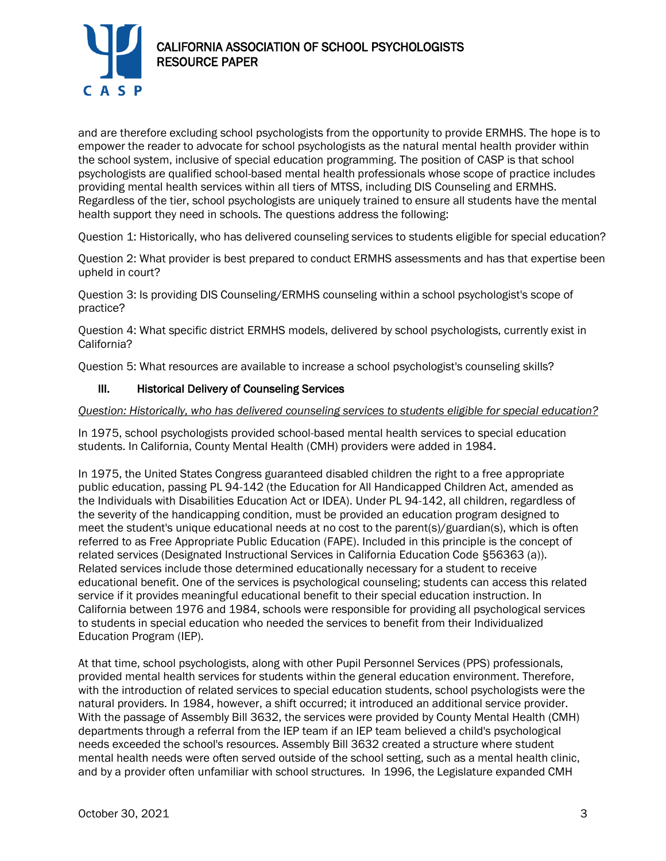

and are therefore excluding school psychologists from the opportunity to provide ERMHS. The hope is to empower the reader to advocate for school psychologists as the natural mental health provider within the school system, inclusive of special education programming. The position of CASP is that school psychologists are qualified school-based mental health professionals whose scope of practice includes providing mental health services within all tiers of MTSS, including DIS Counseling and ERMHS. Regardless of the tier, school psychologists are uniquely trained to ensure all students have the mental health support they need in schools. The questions address the following:

Question 1: Historically, who has delivered counseling services to students eligible for special education?

Question 2: What provider is best prepared to conduct ERMHS assessments and has that expertise been upheld in court?

Question 3: Is providing DIS Counseling/ERMHS counseling within a school psychologist's scope of practice?

Question 4: What specific district ERMHS models, delivered by school psychologists, currently exist in California?

Question 5: What resources are available to increase a school psychologist's counseling skills?

## III. Historical Delivery of Counseling Services

#### *Question: Historically, who has delivered counseling services to students eligible for special education?*

In 1975, school psychologists provided school-based mental health services to special education students. In California, County Mental Health (CMH) providers were added in 1984.

In 1975, the United States Congress guaranteed disabled children the right to a free appropriate public education, passing PL 94-142 (the Education for All Handicapped Children Act, amended as the Individuals with Disabilities Education Act or IDEA). Under PL 94-142, all children, regardless of the severity of the handicapping condition, must be provided an education program designed to meet the student's unique educational needs at no cost to the parent(s)/guardian(s), which is often referred to as Free Appropriate Public Education (FAPE). Included in this principle is the concept of related services (Designated Instructional Services in California Education Code §56363 (a)). Related services include those determined educationally necessary for a student to receive educational benefit. One of the services is psychological counseling; students can access this related service if it provides meaningful educational benefit to their special education instruction. In California between 1976 and 1984, schools were responsible for providing all psychological services to students in special education who needed the services to benefit from their Individualized Education Program (IEP).

At that time, school psychologists, along with other Pupil Personnel Services (PPS) professionals, provided mental health services for students within the general education environment. Therefore, with the introduction of related services to special education students, school psychologists were the natural providers. In 1984, however, a shift occurred; it introduced an additional service provider. With the passage of Assembly Bill 3632, the services were provided by County Mental Health (CMH) departments through a referral from the IEP team if an IEP team believed a child's psychological needs exceeded the school's resources. Assembly Bill 3632 created a structure where student mental health needs were often served outside of the school setting, such as a mental health clinic, and by a provider often unfamiliar with school structures. In 1996, the Legislature expanded CMH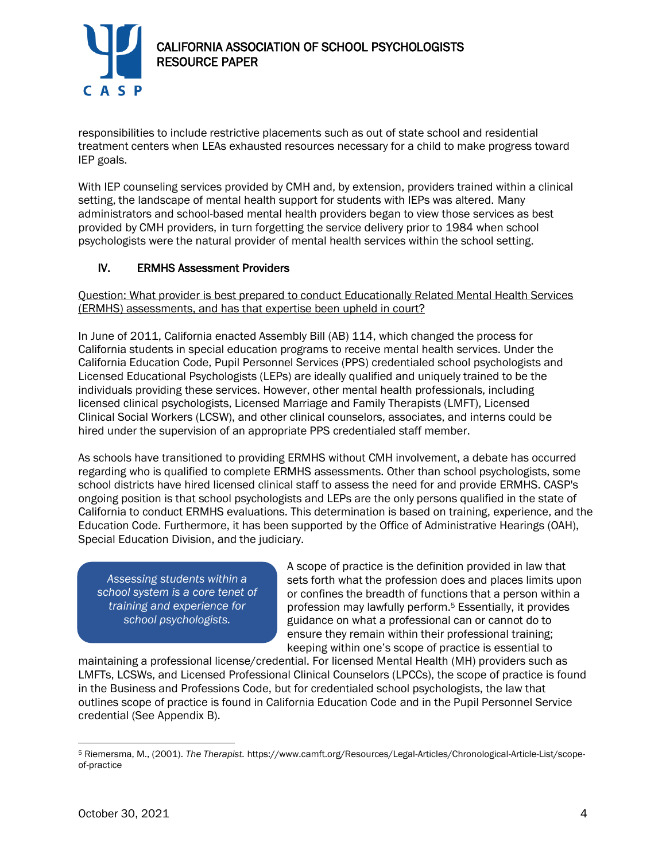

responsibilities to include restrictive placements such as out of state school and residential treatment centers when LEAs exhausted resources necessary for a child to make progress toward IEP goals.

With IEP counseling services provided by CMH and, by extension, providers trained within a clinical setting, the landscape of mental health support for students with IEPs was altered. Many administrators and school-based mental health providers began to view those services as best provided by CMH providers, in turn forgetting the service delivery prior to 1984 when school psychologists were the natural provider of mental health services within the school setting.

# IV. ERMHS Assessment Providers

Question: What provider is best prepared to conduct Educationally Related Mental Health Services (ERMHS) assessments, and has that expertise been upheld in court?

In June of 2011, California enacted Assembly Bill (AB) 114, which changed the process for California students in special education programs to receive mental health services. Under the California Education Code, Pupil Personnel Services (PPS) credentialed school psychologists and Licensed Educational Psychologists (LEPs) are ideally qualified and uniquely trained to be the individuals providing these services. However, other mental health professionals, including licensed clinical psychologists, Licensed Marriage and Family Therapists (LMFT), Licensed Clinical Social Workers (LCSW), and other clinical counselors, associates, and interns could be hired under the supervision of an appropriate PPS credentialed staff member.

As schools have transitioned to providing ERMHS without CMH involvement, a debate has occurred regarding who is qualified to complete ERMHS assessments. Other than school psychologists, some school districts have hired licensed clinical staff to assess the need for and provide ERMHS. CASP's ongoing position is that school psychologists and LEPs are the only persons qualified in the state of California to conduct ERMHS evaluations. This determination is based on training, experience, and the Education Code. Furthermore, it has been supported by the Office of Administrative Hearings (OAH), Special Education Division, and the judiciary.

*Assessing students within a school system is a core tenet of training and experience for school psychologists.*

A scope of practice is the definition provided in law that sets forth what the profession does and places limits upon or confines the breadth of functions that a person within a profession may lawfully perform.<sup>5</sup> Essentially, it provides guidance on what a professional can or cannot do to ensure they remain within their professional training; keeping within one's scope of practice is essential to

maintaining a professional license/credential. For licensed Mental Health (MH) providers such as LMFTs, LCSWs, and Licensed Professional Clinical Counselors (LPCCs), the scope of practice is found in the Business and Professions Code, but for credentialed school psychologists, the law that outlines scope of practice is found in California Education Code and in the Pupil Personnel Service credential (See Appendix B).

<sup>5</sup> Riemersma, M., (2001). *The Therapist.* https://www.camft.org/Resources/Legal-Articles/Chronological-Article-List/scopeof-practice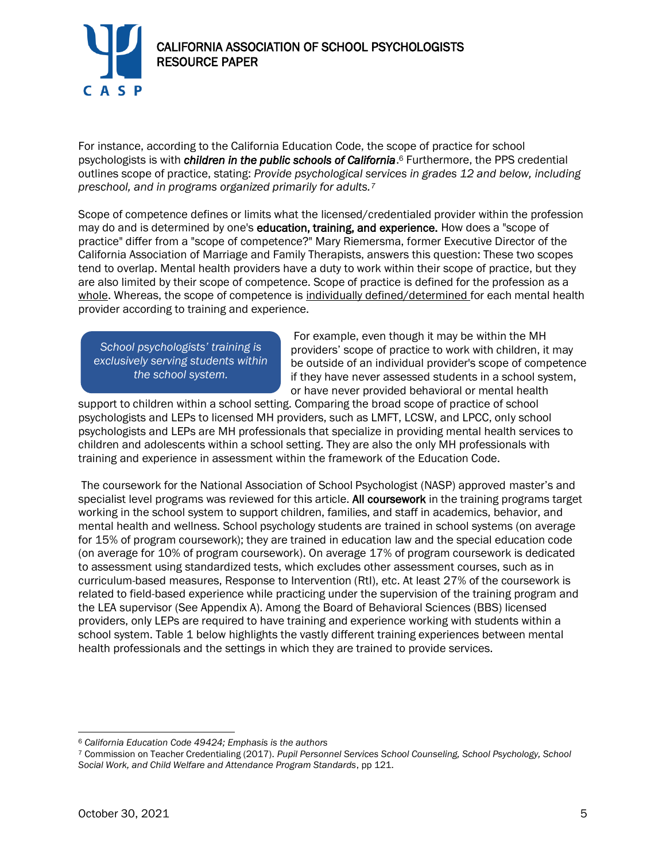

For instance, according to the California Education Code, the scope of practice for school psychologists is with *children in the public schools of California*. <sup>6</sup> Furthermore, the PPS credential outlines scope of practice, stating: *Provide psychological services in grades 12 and below, including preschool, and in programs organized primarily for adults.<sup>7</sup>* 

Scope of competence defines or limits what the licensed/credentialed provider within the profession may do and is determined by one's education, training, and experience. How does a "scope of practice" differ from a "scope of competence?" Mary Riemersma, former Executive Director of the California Association of Marriage and Family Therapists, answers this question: These two scopes tend to overlap. Mental health providers have a duty to work within their scope of practice, but they are also limited by their scope of competence. Scope of practice is defined for the profession as a whole. Whereas, the scope of competence is individually defined/determined for each mental health provider according to training and experience.

*School psychologists' training is exclusively serving students within the school system.*

For example, even though it may be within the MH providers' scope of practice to work with children, it may be outside of an individual provider's scope of competence if they have never assessed students in a school system, or have never provided behavioral or mental health

support to children within a school setting. Comparing the broad scope of practice of school psychologists and LEPs to licensed MH providers, such as LMFT, LCSW, and LPCC, only school psychologists and LEPs are MH professionals that specialize in providing mental health services to children and adolescents within a school setting. They are also the only MH professionals with training and experience in assessment within the framework of the Education Code.

The coursework for the National Association of School Psychologist (NASP) approved master's and specialist level programs was reviewed for this article. All coursework in the training programs target working in the school system to support children, families, and staff in academics, behavior, and mental health and wellness. School psychology students are trained in school systems (on average for 15% of program coursework); they are trained in education law and the special education code (on average for 10% of program coursework). On average 17% of program coursework is dedicated to assessment using standardized tests, which excludes other assessment courses, such as in curriculum-based measures, Response to Intervention (RtI), etc. At least 27% of the coursework is related to field-based experience while practicing under the supervision of the training program and the LEA supervisor (See Appendix A). Among the Board of Behavioral Sciences (BBS) licensed providers, only LEPs are required to have training and experience working with students within a school system. Table 1 below highlights the vastly different training experiences between mental health professionals and the settings in which they are trained to provide services.

<sup>6</sup> *California Education Code 49424; Emphasis is the authors*

<sup>7</sup> Commission on Teacher Credentialing (2017). *Pupil Personnel Services School Counseling, School Psychology, School Social Work, and Child Welfare and Attendance Program Standards*, pp 121.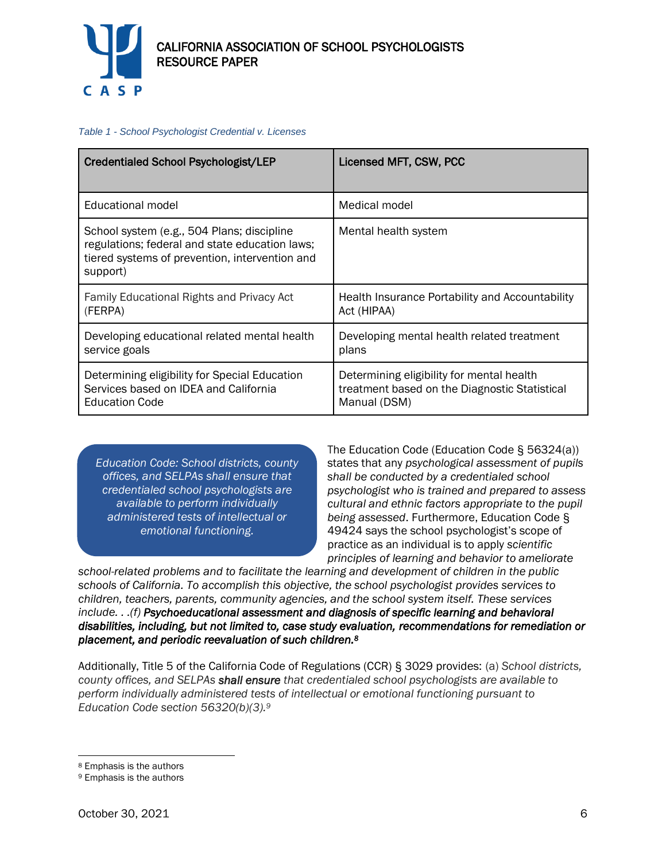

#### *Table 1 - School Psychologist Credential v. Licenses*

| <b>Credentialed School Psychologist/LEP</b>                                                                                                                | Licensed MFT, CSW, PCC                                                                                     |
|------------------------------------------------------------------------------------------------------------------------------------------------------------|------------------------------------------------------------------------------------------------------------|
|                                                                                                                                                            |                                                                                                            |
| Educational model                                                                                                                                          | Medical model                                                                                              |
| School system (e.g., 504 Plans; discipline<br>regulations; federal and state education laws;<br>tiered systems of prevention, intervention and<br>support) | Mental health system                                                                                       |
| Family Educational Rights and Privacy Act<br>(FERPA)                                                                                                       | Health Insurance Portability and Accountability<br>Act (HIPAA)                                             |
| Developing educational related mental health<br>service goals                                                                                              | Developing mental health related treatment<br>plans                                                        |
| Determining eligibility for Special Education<br>Services based on IDEA and California<br><b>Education Code</b>                                            | Determining eligibility for mental health<br>treatment based on the Diagnostic Statistical<br>Manual (DSM) |

*Education Code: School districts, county offices, and SELPAs shall ensure that credentialed school psychologists are available to perform individually administered tests of intellectual or emotional functioning.*

The Education Code (Education Code § 56324(a)) states that any *psychological assessment of pupils shall be conducted by a credentialed school psychologist who is trained and prepared to assess cultural and ethnic factors appropriate to the pupil being assessed*. Furthermore, Education Code § 49424 says the school psychologist's scope of practice as an individual is to apply *scientific principles of learning and behavior to ameliorate* 

*school-related problems and to facilitate the learning and development of children in the public schools of California. To accomplish this objective, the school psychologist provides services to children, teachers, parents, community agencies, and the school system itself. These services include. . .(f) Psychoeducational assessment and diagnosis of specific learning and behavioral disabilities, including, but not limited to, case study evaluation, recommendations for remediation or placement, and periodic reevaluation of such children.<sup>8</sup>* 

Additionally, Title 5 of the California Code of Regulations (CCR) § 3029 provides: (a) *School districts, county offices, and SELPAs shall ensure that credentialed school psychologists are available to perform individually administered tests of intellectual or emotional functioning pursuant to Education Code section 56320(b)(3).<sup>9</sup>*

<sup>8</sup> Emphasis is the authors

<sup>9</sup> Emphasis is the authors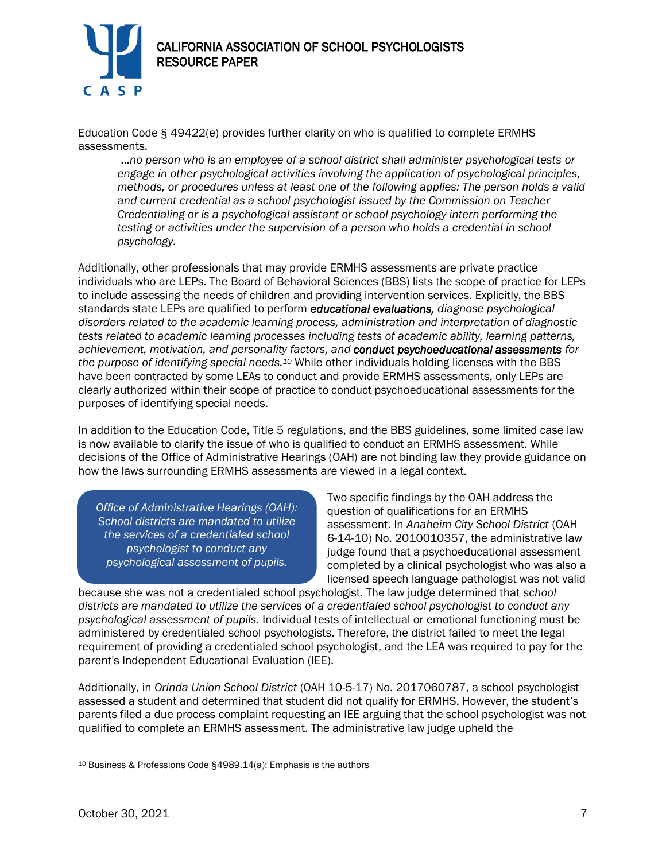

Education Code § 49422(e) provides further clarity on who is qualified to complete ERMHS assessments.

...*no person who is an employee of a school district shall administer psychological tests or engage in other psychological activities involving the application of psychological principles, methods, or procedures unless at least one of the following applies: The person holds a valid and current credential as a school psychologist issued by the Commission on Teacher Credentialing or is a psychological assistant or school psychology intern performing the testing or activities under the supervision of a person who holds a credential in school psychology.* 

Additionally, other professionals that may provide ERMHS assessments are private practice individuals who are LEPs. The Board of Behavioral Sciences (BBS) lists the scope of practice for LEPs to include assessing the needs of children and providing intervention services. Explicitly, the BBS standards state LEPs are qualified to perform *educational evaluations, diagnose psychological disorders related to the academic learning process, administration and interpretation of diagnostic tests related to academic learning processes including tests of academic ability, learning patterns, achievement, motivation, and personality factors, and conduct psychoeducational assessments for the purpose of identifying special needs.<sup>10</sup>* While other individuals holding licenses with the BBS have been contracted by some LEAs to conduct and provide ERMHS assessments, only LEPs are clearly authorized within their scope of practice to conduct psychoeducational assessments for the purposes of identifying special needs.

In addition to the Education Code, Title 5 regulations, and the BBS guidelines, some limited case law is now available to clarify the issue of who is qualified to conduct an ERMHS assessment. While decisions of the Office of Administrative Hearings (OAH) are not binding law they provide guidance on how the laws surrounding ERMHS assessments are viewed in a legal context.

*Office of Administrative Hearings (OAH): School districts are mandated to utilize the services of a credentialed school psychologist to conduct any psychological assessment of pupils.*

Two specific findings by the OAH address the question of qualifications for an ERMHS assessment. In *Anaheim City School District* (OAH 6-14-10) No. 2010010357, the administrative law judge found that a psychoeducational assessment completed by a clinical psychologist who was also a licensed speech language pathologist was not valid

because she was not a credentialed school psychologist. The law judge determined that *school districts are mandated to utilize the services of a credentialed school psychologist to conduct any psychological assessment of pupils.* Individual tests of intellectual or emotional functioning must be administered by credentialed school psychologists. Therefore, the district failed to meet the legal requirement of providing a credentialed school psychologist, and the LEA was required to pay for the parent's Independent Educational Evaluation (IEE).

Additionally, in *Orinda Union School District* (OAH 10-5-17) No. 2017060787, a school psychologist assessed a student and determined that student did not qualify for ERMHS. However, the student's parents filed a due process complaint requesting an IEE arguing that the school psychologist was not qualified to complete an ERMHS assessment. The administrative law judge upheld the

<sup>10</sup> Business & Professions Code §4989.14(a); Emphasis is the authors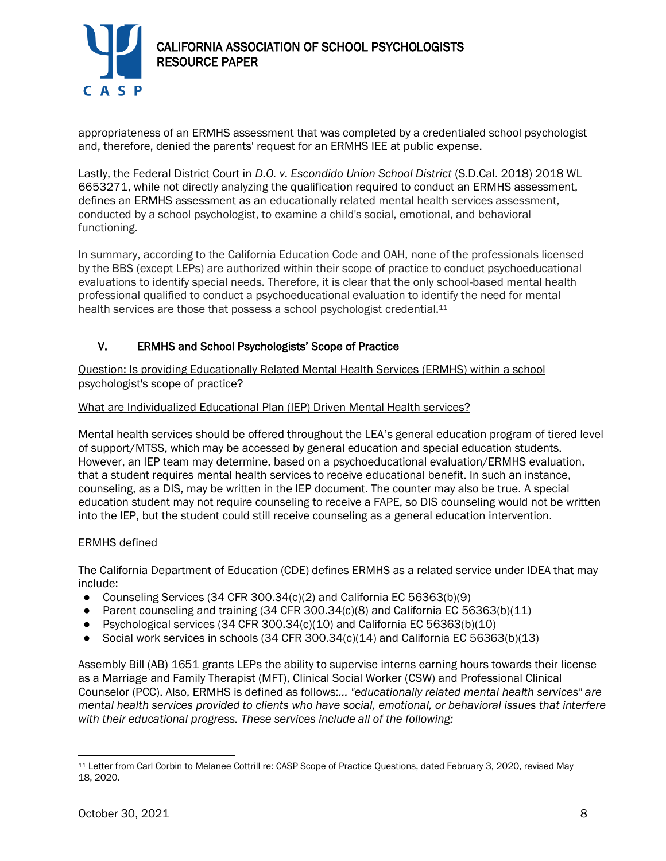

appropriateness of an ERMHS assessment that was completed by a credentialed school psychologist and, therefore, denied the parents' request for an ERMHS IEE at public expense.

Lastly, the Federal District Court in *D.O. v. Escondido Union School District* (S.D.Cal. 2018) 2018 WL 6653271, while not directly analyzing the qualification required to conduct an ERMHS assessment, defines an ERMHS assessment as an educationally related mental health services assessment, conducted by a school psychologist, to examine a child's social, emotional, and behavioral functioning.

In summary, according to the California Education Code and OAH, none of the professionals licensed by the BBS (except LEPs) are authorized within their scope of practice to conduct psychoeducational evaluations to identify special needs. Therefore, it is clear that the only school-based mental health professional qualified to conduct a psychoeducational evaluation to identify the need for mental health services are those that possess a school psychologist credential.<sup>11</sup>

# V. ERMHS and School Psychologists' Scope of Practice

Question: Is providing Educationally Related Mental Health Services (ERMHS) within a school psychologist's scope of practice?

## What are Individualized Educational Plan (IEP) Driven Mental Health services?

Mental health services should be offered throughout the LEA's general education program of tiered level of support/MTSS, which may be accessed by general education and special education students. However, an IEP team may determine, based on a psychoeducational evaluation/ERMHS evaluation, that a student requires mental health services to receive educational benefit. In such an instance, counseling, as a DIS, may be written in the IEP document. The counter may also be true. A special education student may not require counseling to receive a FAPE, so DIS counseling would not be written into the IEP, but the student could still receive counseling as a general education intervention.

#### ERMHS defined

The California Department of Education (CDE) defines ERMHS as a related service under IDEA that may include:

- Counseling Services (34 CFR 300.34 $(c)(2)$  and California EC 56363 $(b)(9)$
- Parent counseling and training  $(34 \text{ CFR } 300.34 \text{ (c)} \cdot (8)$  and California EC 56363(b) $(11)$
- Psychological services (34 CFR 300.34(c)(10) and California EC 56363(b)(10)
- Social work services in schools  $(34$  CFR  $300.34(c)(14)$  and California EC 56363(b) $(13)$

Assembly Bill (AB) 1651 grants LEPs the ability to supervise interns earning hours towards their license as a Marriage and Family Therapist (MFT), Clinical Social Worker (CSW) and Professional Clinical Counselor (PCC). Also, ERMHS is defined as follows:*... "educationally related mental health services" are mental health services provided to clients who have social, emotional, or behavioral issues that interfere with their educational progress. These services include all of the following:*

<sup>11</sup> Letter from Carl Corbin to Melanee Cottrill re: CASP Scope of Practice Questions, dated February 3, 2020, revised May 18, 2020.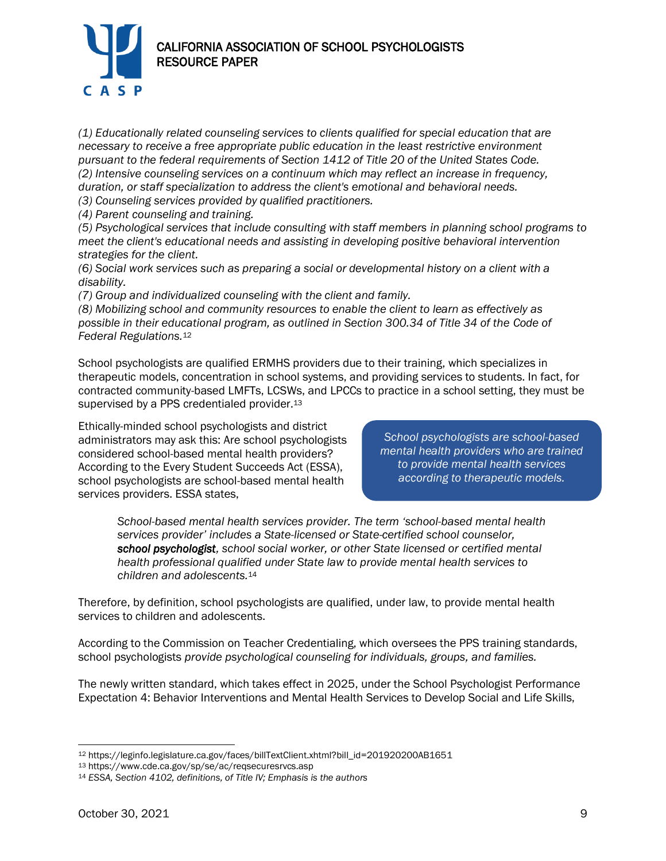

*(1) Educationally related counseling services to clients qualified for special education that are necessary to receive a free appropriate public education in the least restrictive environment pursuant to the federal requirements of Section 1412 of Title 20 of the United States Code. (2) Intensive counseling services on a continuum which may reflect an increase in frequency, duration, or staff specialization to address the client's emotional and behavioral needs.*

*(3) Counseling services provided by qualified practitioners.*

*(4) Parent counseling and training.*

*(5) Psychological services that include consulting with staff members in planning school programs to meet the client's educational needs and assisting in developing positive behavioral intervention strategies for the client.*

*(6) Social work services such as preparing a social or developmental history on a client with a disability.*

*(7) Group and individualized counseling with the client and family.*

*(8) Mobilizing school and community resources to enable the client to learn as effectively as possible in their educational program, as outlined in Section 300.34 of Title 34 of the Code of Federal Regulations.*<sup>12</sup>

School psychologists are qualified ERMHS providers due to their training, which specializes in therapeutic models, concentration in school systems, and providing services to students. In fact, for contracted community-based LMFTs, LCSWs, and LPCCs to practice in a school setting, they must be supervised by a PPS credentialed provider.<sup>13</sup>

Ethically-minded school psychologists and district administrators may ask this: Are school psychologists considered school-based mental health providers? According to the Every Student Succeeds Act (ESSA), school psychologists are school-based mental health services providers. ESSA states,

*School psychologists are school-based mental health providers who are trained to provide mental health services according to therapeutic models.*

*School-based mental health services provider. The term 'school-based mental health services provider' includes a State-licensed or State-certified school counselor, school psychologist, school social worker, or other State licensed or certified mental health professional qualified under State law to provide mental health services to children and adolescents.*<sup>14</sup>

Therefore, by definition, school psychologists are qualified, under law, to provide mental health services to children and adolescents.

According to the Commission on Teacher Credentialing, which oversees the PPS training standards, school psychologists *provide psychological counseling for individuals, groups, and families.*

The newly written standard, which takes effect in 2025, under the School Psychologist Performance Expectation 4: Behavior Interventions and Mental Health Services to Develop Social and Life Skills,

<sup>12</sup> https://leginfo.legislature.ca.gov/faces/billTextClient.xhtml?bill\_id=201920200AB1651

<sup>13</sup> https://www.cde.ca.gov/sp/se/ac/reqsecuresrvcs.asp

<sup>14</sup> *ESSA, Section 4102, definitions, of Title IV; Emphasis is the authors*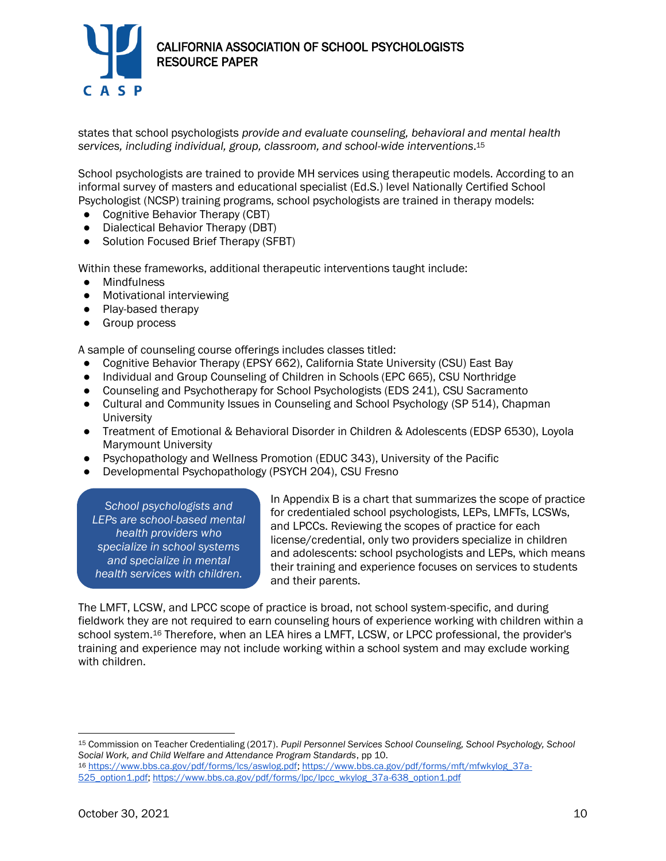

states that school psychologists *provide and evaluate counseling, behavioral and mental health services, including individual, group, classroom, and school-wide interventions*. 15

School psychologists are trained to provide MH services using therapeutic models. According to an informal survey of masters and educational specialist (Ed.S.) level Nationally Certified School Psychologist (NCSP) training programs, school psychologists are trained in therapy models:

- Cognitive Behavior Therapy (CBT)
- Dialectical Behavior Therapy (DBT)
- Solution Focused Brief Therapy (SFBT)

Within these frameworks, additional therapeutic interventions taught include:

- Mindfulness
- Motivational interviewing
- Play-based therapy
- Group process

A sample of counseling course offerings includes classes titled:

- Cognitive Behavior Therapy (EPSY 662), California State University (CSU) East Bay
- Individual and Group Counseling of Children in Schools (EPC 665), CSU Northridge
- Counseling and Psychotherapy for School Psychologists (EDS 241), CSU Sacramento
- Cultural and Community Issues in Counseling and School Psychology (SP 514), Chapman University
- Treatment of Emotional & Behavioral Disorder in Children & Adolescents (EDSP 6530), Loyola Marymount University
- Psychopathology and Wellness Promotion (EDUC 343), University of the Pacific
- Developmental Psychopathology (PSYCH 204), CSU Fresno

*School psychologists and LEPs are school-based mental health providers who specialize in school systems and specialize in mental health services with children.*

In Appendix B is a chart that summarizes the scope of practice for credentialed school psychologists, LEPs, LMFTs, LCSWs, and LPCCs. Reviewing the scopes of practice for each license/credential, only two providers specialize in children and adolescents: school psychologists and LEPs, which means their training and experience focuses on services to students and their parents.

The LMFT, LCSW, and LPCC scope of practice is broad, not school system-specific, and during fieldwork they are not required to earn counseling hours of experience working with children within a school system.<sup>16</sup> Therefore, when an LEA hires a LMFT, LCSW, or LPCC professional, the provider's training and experience may not include working within a school system and may exclude working with children.

<sup>15</sup> Commission on Teacher Credentialing (2017). *Pupil Personnel Services School Counseling, School Psychology, School Social Work, and Child Welfare and Attendance Program Standards*, pp 10.

<sup>16</sup> [https://www.bbs.ca.gov/pdf/forms/lcs/aswlog.pdf;](https://www.bbs.ca.gov/pdf/forms/lcs/aswlog.pdf) [https://www.bbs.ca.gov/pdf/forms/mft/mfwkylog\\_37a-](https://www.bbs.ca.gov/pdf/forms/mft/mfwkylog_37a-525_option1.pdf)[525\\_option1.pdf;](https://www.bbs.ca.gov/pdf/forms/mft/mfwkylog_37a-525_option1.pdf) [https://www.bbs.ca.gov/pdf/forms/lpc/lpcc\\_wkylog\\_37a-638\\_option1.pdf](https://www.bbs.ca.gov/pdf/forms/lpc/lpcc_wkylog_37a-638_option1.pdf)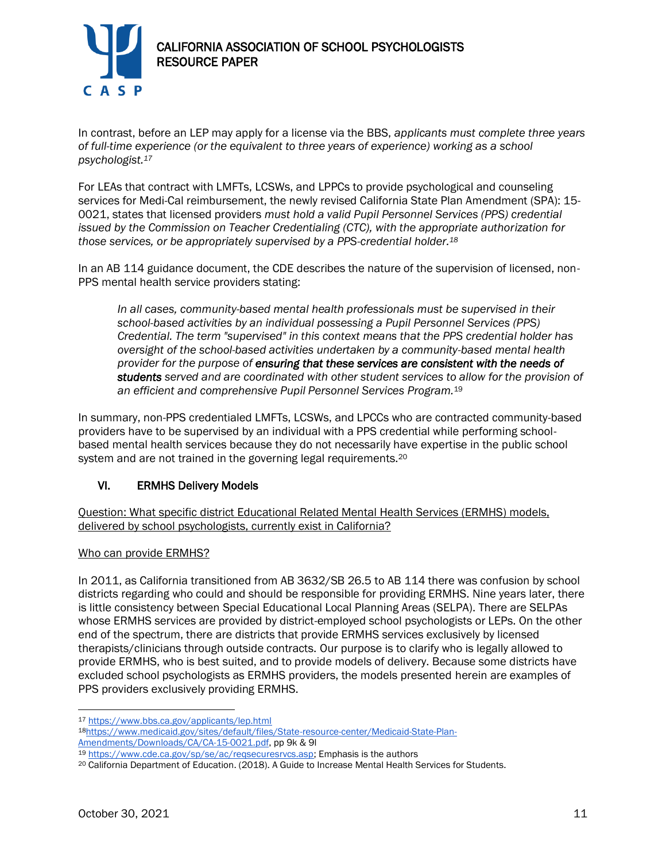

In contrast, before an LEP may apply for a license via the BBS, *applicants must complete three years of full-time experience (or the equivalent to three years of experience) working as a school psychologist.<sup>17</sup>*

For LEAs that contract with LMFTs, LCSWs, and LPPCs to provide psychological and counseling services for Medi-Cal reimbursement, the newly revised California State Plan Amendment (SPA): 15- 0021, states that licensed providers *must hold a valid Pupil Personnel Services (PPS) credential issued by the Commission on Teacher Credentialing (CTC), with the appropriate authorization for those services, or be appropriately supervised by a PPS-credential holder.<sup>18</sup>*

In an AB 114 guidance document, the CDE describes the nature of the supervision of licensed, non-PPS mental health service providers stating:

*In all cases, community-based mental health professionals must be supervised in their school-based activities by an individual possessing a Pupil Personnel Services (PPS) Credential. The term "supervised" in this context means that the PPS credential holder has oversight of the school-based activities undertaken by a community-based mental health provider for the purpose of ensuring that these services are consistent with the needs of students served and are coordinated with other student services to allow for the provision of an efficient and comprehensive Pupil Personnel Services Program.*<sup>19</sup>

In summary, non-PPS credentialed LMFTs, LCSWs, and LPCCs who are contracted community-based providers have to be supervised by an individual with a PPS credential while performing schoolbased mental health services because they do not necessarily have expertise in the public school system and are not trained in the governing legal requirements.<sup>20</sup>

# VI. ERMHS Delivery Models

Question: What specific district Educational Related Mental Health Services (ERMHS) models, delivered by school psychologists, currently exist in California?

#### Who can provide ERMHS?

In 2011, as California transitioned from AB 3632/SB 26.5 to AB 114 there was confusion by school districts regarding who could and should be responsible for providing ERMHS. Nine years later, there is little consistency between Special Educational Local Planning Areas (SELPA). There are SELPAs whose ERMHS services are provided by district-employed school psychologists or LEPs. On the other end of the spectrum, there are districts that provide ERMHS services exclusively by licensed therapists/clinicians through outside contracts. Our purpose is to clarify who is legally allowed to provide ERMHS, who is best suited, and to provide models of delivery. Because some districts have excluded school psychologists as ERMHS providers, the models presented herein are examples of PPS providers exclusively providing ERMHS.

<sup>17</sup> <https://www.bbs.ca.gov/applicants/lep.html>

<sup>18</sup>[https://www.medicaid.gov/sites/default/files/State-resource-center/Medicaid-State-Plan-](https://www.medicaid.gov/sites/default/files/State-resource-center/Medicaid-State-Plan-Amendments/Downloads/CA/CA-15-0021.pdf)[Amendments/Downloads/CA/CA-15-0021.pdf,](https://www.medicaid.gov/sites/default/files/State-resource-center/Medicaid-State-Plan-Amendments/Downloads/CA/CA-15-0021.pdf) pp 9k & 9l

<sup>19</sup> [https://www.cde.ca.gov/sp/se/ac/reqsecuresrvcs.asp;](https://www.cde.ca.gov/sp/se/ac/reqsecuresrvcs.asp) Emphasis is the authors

<sup>20</sup> California Department of Education. (2018). A Guide to Increase Mental Health Services for Students.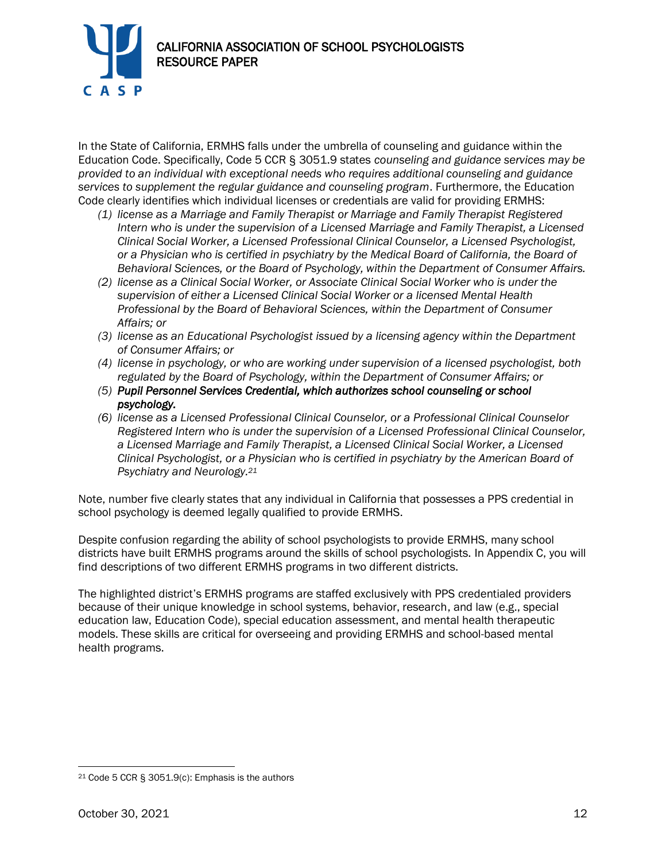

In the State of California, ERMHS falls under the umbrella of counseling and guidance within the Education Code. Specifically, Code 5 CCR § 3051.9 states *counseling and guidance services may be provided to an individual with exceptional needs who requires additional counseling and guidance services to supplement the regular guidance and counseling program*. Furthermore, the Education Code clearly identifies which individual licenses or credentials are valid for providing ERMHS:

- *(1) license as a Marriage and Family Therapist or Marriage and Family Therapist Registered Intern who is under the supervision of a Licensed Marriage and Family Therapist, a Licensed Clinical Social Worker, a Licensed Professional Clinical Counselor, a Licensed Psychologist, or a Physician who is certified in psychiatry by the Medical Board of California, the Board of Behavioral Sciences, or the Board of Psychology, within the Department of Consumer Affairs.*
- *(2) license as a Clinical Social Worker, or Associate Clinical Social Worker who is under the supervision of either a Licensed Clinical Social Worker or a licensed Mental Health Professional by the Board of Behavioral Sciences, within the Department of Consumer Affairs; or*
- *(3) license as an Educational Psychologist issued by a licensing agency within the Department of Consumer Affairs; or*
- *(4) license in psychology, or who are working under supervision of a licensed psychologist, both regulated by the Board of Psychology, within the Department of Consumer Affairs; or*
- *(5) Pupil Personnel Services Credential, which authorizes school counseling or school psychology.*
- *(6) license as a Licensed Professional Clinical Counselor, or a Professional Clinical Counselor Registered Intern who is under the supervision of a Licensed Professional Clinical Counselor, a Licensed Marriage and Family Therapist, a Licensed Clinical Social Worker, a Licensed Clinical Psychologist, or a Physician who is certified in psychiatry by the American Board of Psychiatry and Neurology.<sup>21</sup>*

Note, number five clearly states that any individual in California that possesses a PPS credential in school psychology is deemed legally qualified to provide ERMHS.

Despite confusion regarding the ability of school psychologists to provide ERMHS, many school districts have built ERMHS programs around the skills of school psychologists. In Appendix C, you will find descriptions of two different ERMHS programs in two different districts.

The highlighted district's ERMHS programs are staffed exclusively with PPS credentialed providers because of their unique knowledge in school systems, behavior, research, and law (e.g., special education law, Education Code), special education assessment, and mental health therapeutic models. These skills are critical for overseeing and providing ERMHS and school-based mental health programs.

<sup>21</sup> Code 5 CCR § 3051.9(c): Emphasis is the authors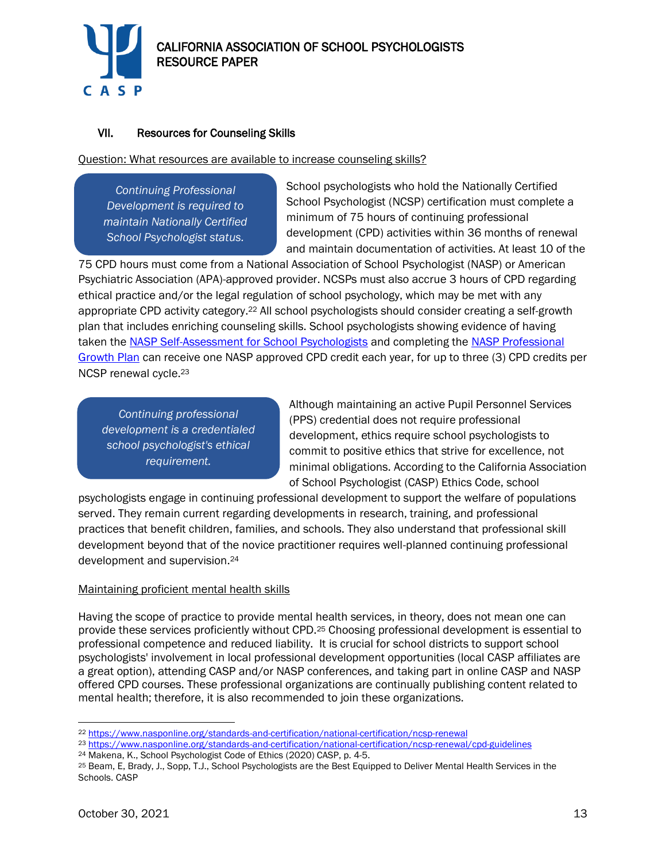

# VII. Resources for Counseling Skills

Question: What resources are available to increase counseling skills?

*Continuing Professional Development is required to maintain Nationally Certified School Psychologist status.*

School psychologists who hold the Nationally Certified School Psychologist (NCSP) certification must complete a minimum of 75 hours of continuing professional development (CPD) activities within 36 months of renewal and maintain documentation of activities. At least 10 of the

75 CPD hours must come from a National Association of School Psychologist (NASP) or American Psychiatric Association (APA)-approved provider. NCSPs must also accrue 3 hours of CPD regarding ethical practice and/or the legal regulation of school psychology, which may be met with any appropriate CPD activity category.<sup>22</sup> All school psychologists should consider creating a self-growth plan that includes enriching counseling skills. School psychologists showing evidence of having taken the [NASP Self-Assessment for School Psychologists](https://www.nasponline.org/x17843.xml) and completing the [NASP Professional](https://www.nasponline.org/Documents/Professional%20Development/NASP_Professional_Growth_Plan.pdf)  [Growth Plan](https://www.nasponline.org/Documents/Professional%20Development/NASP_Professional_Growth_Plan.pdf) can receive one NASP approved CPD credit each year, for up to three (3) CPD credits per NCSP renewal cycle.<sup>23</sup>

*Continuing professional development is a credentialed school psychologist's ethical requirement.*

Although maintaining an active Pupil Personnel Services (PPS) credential does not require professional development, ethics require school psychologists to commit to positive ethics that strive for excellence, not minimal obligations. According to the California Association of School Psychologist (CASP) Ethics Code, school

psychologists engage in continuing professional development to support the welfare of populations served. They remain current regarding developments in research, training, and professional practices that benefit children, families, and schools. They also understand that professional skill development beyond that of the novice practitioner requires well-planned continuing professional development and supervision.<sup>24</sup>

#### Maintaining proficient mental health skills

Having the scope of practice to provide mental health services, in theory, does not mean one can provide these services proficiently without CPD.<sup>25</sup> Choosing professional development is essential to professional competence and reduced liability. It is crucial for school districts to support school psychologists' involvement in local professional development opportunities (local CASP affiliates are a great option), attending CASP and/or NASP conferences, and taking part in online CASP and NASP offered CPD courses. These professional organizations are continually publishing content related to mental health; therefore, it is also recommended to join these organizations.

<sup>22</sup> <https://www.nasponline.org/standards-and-certification/national-certification/ncsp-renewal>

<sup>23</sup> <https://www.nasponline.org/standards-and-certification/national-certification/ncsp-renewal/cpd-guidelines>

<sup>24</sup> Makena, K., School Psychologist Code of Ethics (2020) CASP, p. 4-5.

<sup>25</sup> Beam, E, Brady, J., Sopp, T.J., School Psychologists are the Best Equipped to Deliver Mental Health Services in the Schools. CASP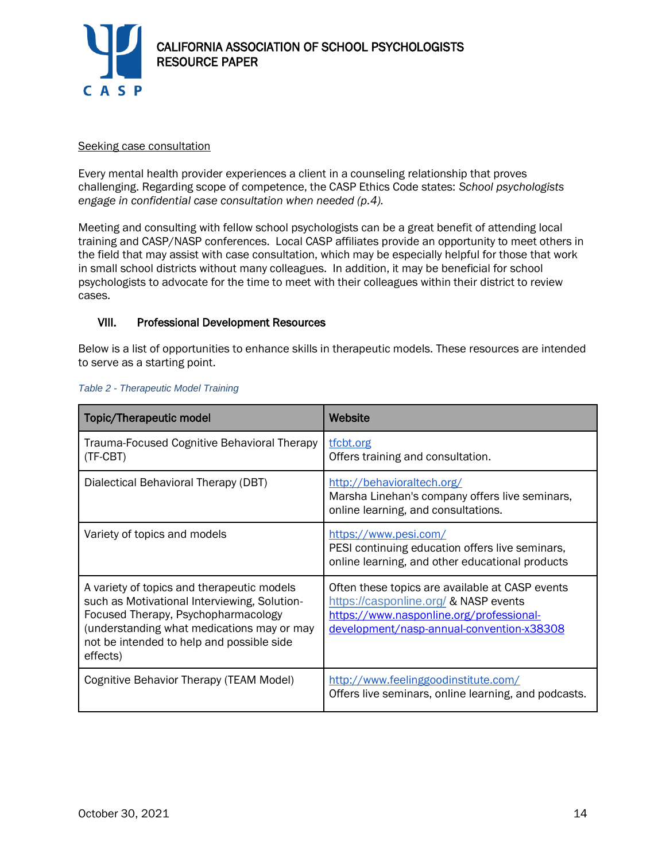

#### Seeking case consultation

Every mental health provider experiences a client in a counseling relationship that proves challenging. Regarding scope of competence, the CASP Ethics Code states: *School psychologists engage in confidential case consultation when needed (p.4).*

Meeting and consulting with fellow school psychologists can be a great benefit of attending local training and CASP/NASP conferences. Local CASP affiliates provide an opportunity to meet others in the field that may assist with case consultation, which may be especially helpful for those that work in small school districts without many colleagues. In addition, it may be beneficial for school psychologists to advocate for the time to meet with their colleagues within their district to review cases.

# VIII. Professional Development Resources

Below is a list of opportunities to enhance skills in therapeutic models. These resources are intended to serve as a starting point.

| Topic/Therapeutic model                                                                                                                                                                                                                  | Website                                                                                                                                                                           |
|------------------------------------------------------------------------------------------------------------------------------------------------------------------------------------------------------------------------------------------|-----------------------------------------------------------------------------------------------------------------------------------------------------------------------------------|
| Trauma-Focused Cognitive Behavioral Therapy<br>(TF-CBT)                                                                                                                                                                                  | tfcbt.org<br>Offers training and consultation.                                                                                                                                    |
| Dialectical Behavioral Therapy (DBT)                                                                                                                                                                                                     | http://behavioraltech.org/<br>Marsha Linehan's company offers live seminars,<br>online learning, and consultations.                                                               |
| Variety of topics and models                                                                                                                                                                                                             | https://www.pesi.com/<br>PESI continuing education offers live seminars,<br>online learning, and other educational products                                                       |
| A variety of topics and therapeutic models<br>such as Motivational Interviewing, Solution-<br>Focused Therapy, Psychopharmacology<br>(understanding what medications may or may<br>not be intended to help and possible side<br>effects) | Often these topics are available at CASP events<br>https://casponline.org/ & NASP events<br>https://www.nasponline.org/professional-<br>development/nasp-annual-convention-x38308 |
| Cognitive Behavior Therapy (TEAM Model)                                                                                                                                                                                                  | http://www.feelinggoodinstitute.com/<br>Offers live seminars, online learning, and podcasts.                                                                                      |

#### *Table 2 - Therapeutic Model Training*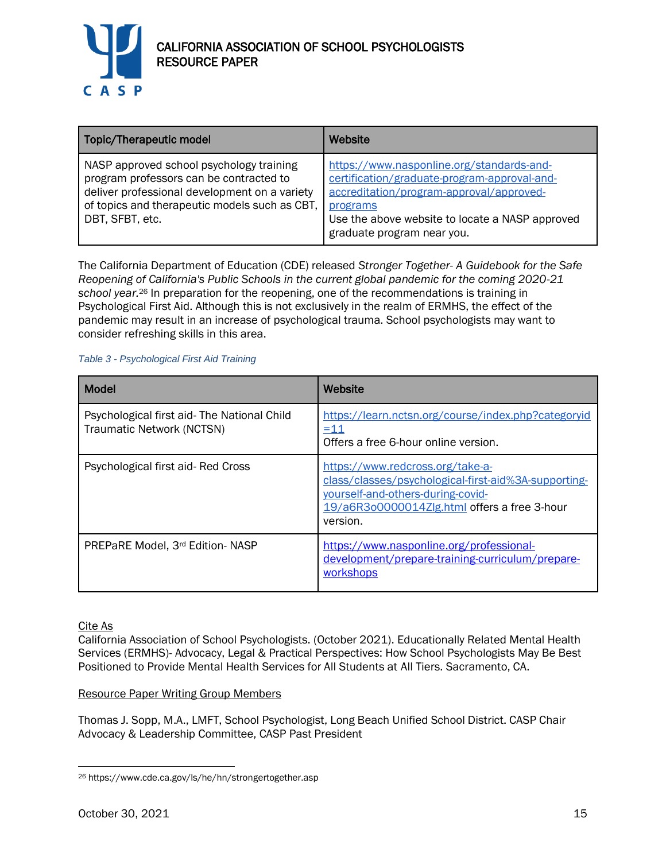

| Topic/Therapeutic model                                                                                                                                                                                  | Website                                                                                                                                                                                                                            |
|----------------------------------------------------------------------------------------------------------------------------------------------------------------------------------------------------------|------------------------------------------------------------------------------------------------------------------------------------------------------------------------------------------------------------------------------------|
| NASP approved school psychology training<br>program professors can be contracted to<br>deliver professional development on a variety<br>of topics and therapeutic models such as CBT,<br>DBT, SFBT, etc. | https://www.nasponline.org/standards-and-<br>certification/graduate-program-approval-and-<br>accreditation/program-approval/approved-<br>programs<br>Use the above website to locate a NASP approved<br>graduate program near you. |

The California Department of Education (CDE) released *Stronger Together- A Guidebook for the Safe Reopening of California's Public Schools in the current global pandemic for the coming 2020-21 school year.*<sup>26</sup> In preparation for the reopening, one of the recommendations is training in Psychological First Aid. Although this is not exclusively in the realm of ERMHS, the effect of the pandemic may result in an increase of psychological trauma. School psychologists may want to consider refreshing skills in this area.

#### *Table 3 - Psychological First Aid Training*

| <b>Model</b>                                                             | Website                                                                                                                                                                                   |
|--------------------------------------------------------------------------|-------------------------------------------------------------------------------------------------------------------------------------------------------------------------------------------|
| Psychological first aid- The National Child<br>Traumatic Network (NCTSN) | https://learn.nctsn.org/course/index.php?categoryid<br><u>=11</u><br>Offers a free 6-hour online version.                                                                                 |
| Psychological first aid-Red Cross                                        | https://www.redcross.org/take-a-<br>class/classes/psychological-first-aid%3A-supporting-<br>yourself-and-others-during-covid-<br>19/a6R3o0000014Zlg.html offers a free 3-hour<br>version. |
| PREPaRE Model, 3rd Edition-NASP                                          | https://www.nasponline.org/professional-<br>development/prepare-training-curriculum/prepare-<br>workshops                                                                                 |

Cite As

California Association of School Psychologists. (October 2021). Educationally Related Mental Health Services (ERMHS)- Advocacy, Legal & Practical Perspectives: How School Psychologists May Be Best Positioned to Provide Mental Health Services for All Students at All Tiers. Sacramento, CA.

#### Resource Paper Writing Group Members

Thomas J. Sopp, M.A., LMFT, School Psychologist, Long Beach Unified School District. CASP Chair Advocacy & Leadership Committee, CASP Past President

<sup>26</sup> https://www.cde.ca.gov/ls/he/hn/strongertogether.asp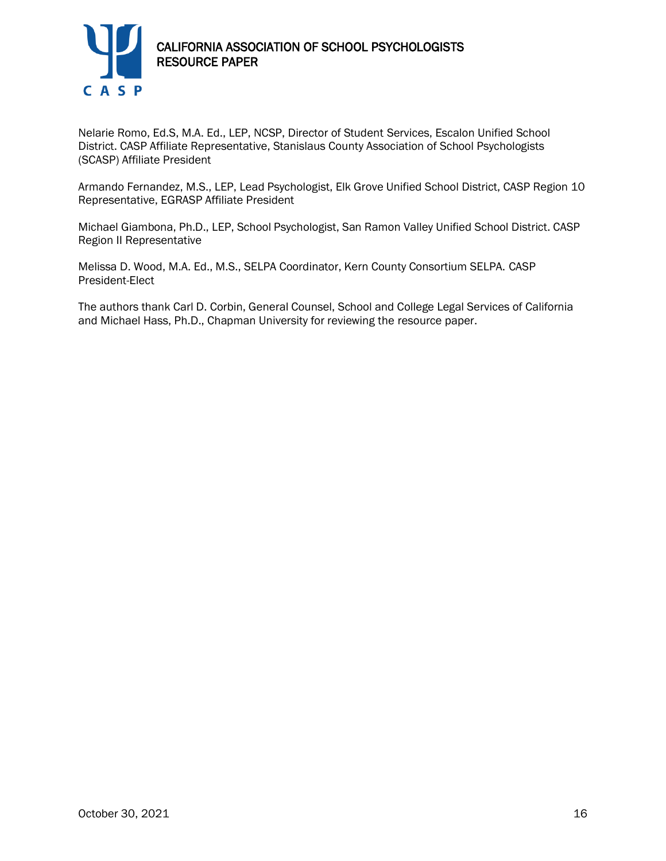

Nelarie Romo, Ed.S, M.A. Ed., LEP, NCSP, Director of Student Services, Escalon Unified School District. CASP Affiliate Representative, Stanislaus County Association of School Psychologists (SCASP) Affiliate President

Armando Fernandez, M.S., LEP, Lead Psychologist, Elk Grove Unified School District, CASP Region 10 Representative, EGRASP Affiliate President

Michael Giambona, Ph.D., LEP, School Psychologist, San Ramon Valley Unified School District. CASP Region II Representative

Melissa D. Wood, M.A. Ed., M.S., SELPA Coordinator, Kern County Consortium SELPA. CASP President-Elect

The authors thank Carl D. Corbin, General Counsel, School and College Legal Services of California and Michael Hass, Ph.D., Chapman University for reviewing the resource paper.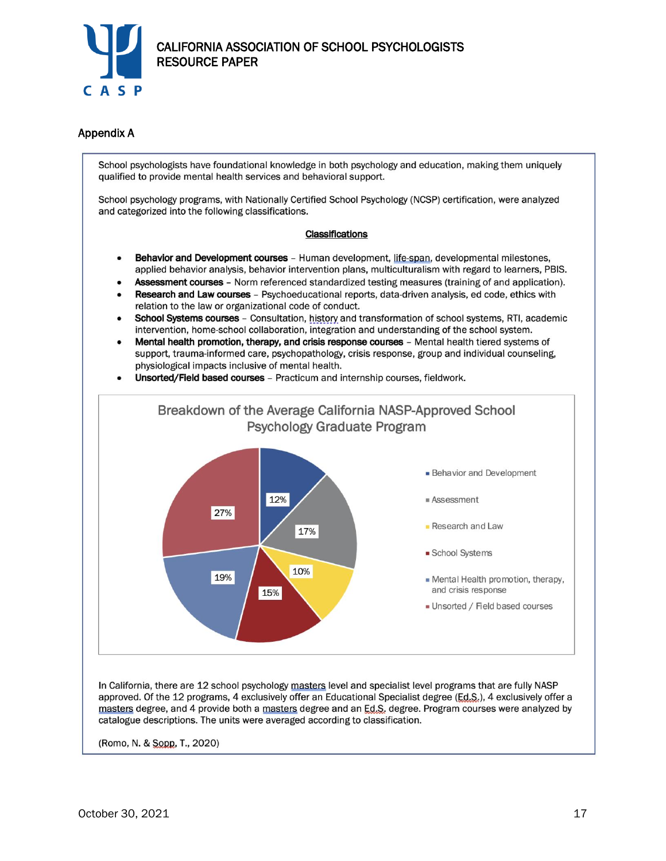

## Appendix A

School psychologists have foundational knowledge in both psychology and education, making them uniquely qualified to provide mental health services and behavioral support.

School psychology programs, with Nationally Certified School Psychology (NCSP) certification, were analyzed and categorized into the following classifications.

#### **Classifications**

- Behavior and Development courses Human development, life-span, developmental milestones, applied behavior analysis, behavior intervention plans, multiculturalism with regard to learners, PBIS.
- Assessment courses Norm referenced standardized testing measures (training of and application).
- Research and Law courses Psychoeducational reports, data-driven analysis, ed code, ethics with relation to the law or organizational code of conduct.
- School Systems courses Consultation, history and transformation of school systems, RTI, academic intervention, home-school collaboration, integration and understanding of the school system.
- Mental health promotion, therapy, and crisis response courses Mental health tiered systems of support, trauma-informed care, psychopathology, crisis response, group and individual counseling, physiological impacts inclusive of mental health.
- Unsorted/Field based courses Practicum and internship courses, fieldwork.



(Romo, N. & Sopp, T., 2020)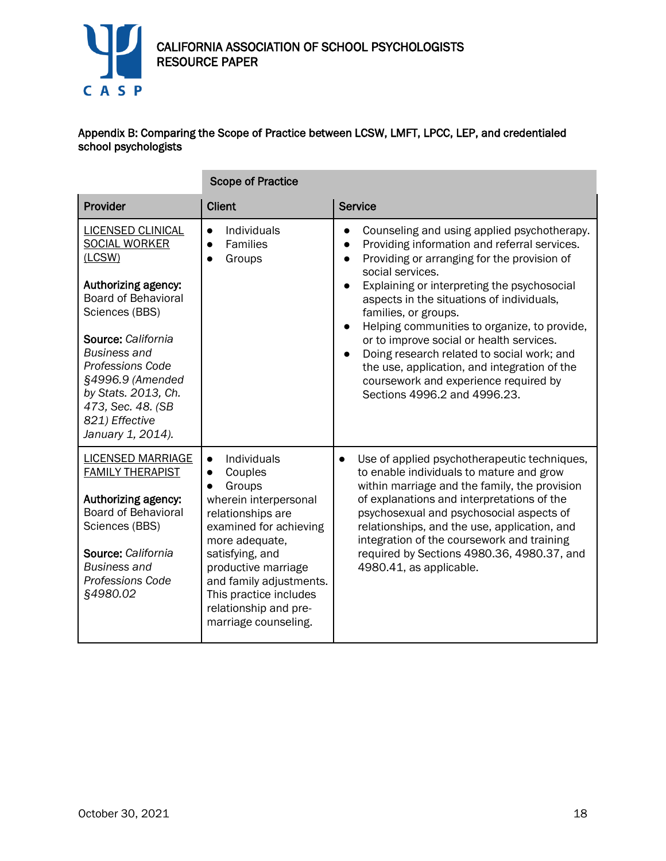

m.

## Appendix B: Comparing the Scope of Practice between LCSW, LMFT, LPCC, LEP, and credentialed school psychologists

|                                                                                                                                                                                                                                                                                                           | <b>Scope of Practice</b>                                                                                                                                                                                                                                                   |                                                                                                                                                                                                                                                                                                                                                                                                                                                                                                                                                                                 |
|-----------------------------------------------------------------------------------------------------------------------------------------------------------------------------------------------------------------------------------------------------------------------------------------------------------|----------------------------------------------------------------------------------------------------------------------------------------------------------------------------------------------------------------------------------------------------------------------------|---------------------------------------------------------------------------------------------------------------------------------------------------------------------------------------------------------------------------------------------------------------------------------------------------------------------------------------------------------------------------------------------------------------------------------------------------------------------------------------------------------------------------------------------------------------------------------|
| Provider                                                                                                                                                                                                                                                                                                  | <b>Client</b>                                                                                                                                                                                                                                                              | <b>Service</b>                                                                                                                                                                                                                                                                                                                                                                                                                                                                                                                                                                  |
| <b>LICENSED CLINICAL</b><br><b>SOCIAL WORKER</b><br>(LCSW)<br>Authorizing agency:<br><b>Board of Behavioral</b><br>Sciences (BBS)<br>Source: California<br>Business and<br><b>Professions Code</b><br>§4996.9 (Amended<br>by Stats. 2013, Ch.<br>473, Sec. 48. (SB<br>821) Effective<br>January 1, 2014). | Individuals<br>$\bullet$<br>Families<br>Groups                                                                                                                                                                                                                             | Counseling and using applied psychotherapy.<br>$\bullet$<br>Providing information and referral services.<br>$\bullet$<br>Providing or arranging for the provision of<br>social services.<br>Explaining or interpreting the psychosocial<br>aspects in the situations of individuals,<br>families, or groups.<br>Helping communities to organize, to provide,<br>or to improve social or health services.<br>Doing research related to social work; and<br>the use, application, and integration of the<br>coursework and experience required by<br>Sections 4996.2 and 4996.23. |
| <b>LICENSED MARRIAGE</b><br><b>FAMILY THERAPIST</b><br>Authorizing agency:<br><b>Board of Behavioral</b><br>Sciences (BBS)<br>Source: California<br><b>Business and</b><br>Professions Code<br>§4980.02                                                                                                   | Individuals<br>Couples<br>Groups<br>wherein interpersonal<br>relationships are<br>examined for achieving<br>more adequate,<br>satisfying, and<br>productive marriage<br>and family adjustments.<br>This practice includes<br>relationship and pre-<br>marriage counseling. | Use of applied psychotherapeutic techniques,<br>$\bullet$<br>to enable individuals to mature and grow<br>within marriage and the family, the provision<br>of explanations and interpretations of the<br>psychosexual and psychosocial aspects of<br>relationships, and the use, application, and<br>integration of the coursework and training<br>required by Sections 4980.36, 4980.37, and<br>4980.41, as applicable.                                                                                                                                                         |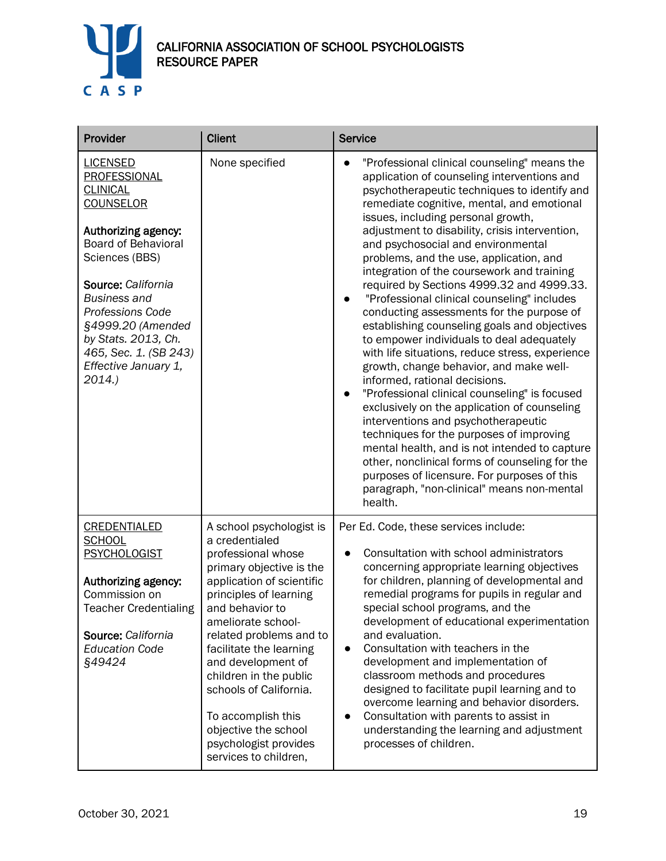

| Provider                                                                                                                                                                                                                                                                                                                    | <b>Client</b>                                                                                                                                                                                                                                                                                                                                                                                                                | <b>Service</b>                                                                                                                                                                                                                                                                                                                                                                                                                                                                                                                                                                                                                                                                                                                                                                                                                                                                                                                                                                                                                                                                                                                                                                       |  |
|-----------------------------------------------------------------------------------------------------------------------------------------------------------------------------------------------------------------------------------------------------------------------------------------------------------------------------|------------------------------------------------------------------------------------------------------------------------------------------------------------------------------------------------------------------------------------------------------------------------------------------------------------------------------------------------------------------------------------------------------------------------------|--------------------------------------------------------------------------------------------------------------------------------------------------------------------------------------------------------------------------------------------------------------------------------------------------------------------------------------------------------------------------------------------------------------------------------------------------------------------------------------------------------------------------------------------------------------------------------------------------------------------------------------------------------------------------------------------------------------------------------------------------------------------------------------------------------------------------------------------------------------------------------------------------------------------------------------------------------------------------------------------------------------------------------------------------------------------------------------------------------------------------------------------------------------------------------------|--|
| <b>LICENSED</b><br>PROFESSIONAL<br><b>CLINICAL</b><br><b>COUNSELOR</b><br>Authorizing agency:<br><b>Board of Behavioral</b><br>Sciences (BBS)<br>Source: California<br><b>Business and</b><br><b>Professions Code</b><br>§4999.20 (Amended<br>by Stats. 2013, Ch.<br>465, Sec. 1. (SB 243)<br>Effective January 1,<br>2014. | None specified                                                                                                                                                                                                                                                                                                                                                                                                               | "Professional clinical counseling" means the<br>application of counseling interventions and<br>psychotherapeutic techniques to identify and<br>remediate cognitive, mental, and emotional<br>issues, including personal growth,<br>adjustment to disability, crisis intervention,<br>and psychosocial and environmental<br>problems, and the use, application, and<br>integration of the coursework and training<br>required by Sections 4999.32 and 4999.33.<br>"Professional clinical counseling" includes<br>conducting assessments for the purpose of<br>establishing counseling goals and objectives<br>to empower individuals to deal adequately<br>with life situations, reduce stress, experience<br>growth, change behavior, and make well-<br>informed, rational decisions.<br>"Professional clinical counseling" is focused<br>exclusively on the application of counseling<br>interventions and psychotherapeutic<br>techniques for the purposes of improving<br>mental health, and is not intended to capture<br>other, nonclinical forms of counseling for the<br>purposes of licensure. For purposes of this<br>paragraph, "non-clinical" means non-mental<br>health. |  |
| <b>CREDENTIALED</b><br><b>SCHOOL</b><br><b>PSYCHOLOGIST</b><br>Authorizing agency:<br>Commission on<br><b>Teacher Credentialing</b><br>Source: California<br><b>Education Code</b><br>§49424                                                                                                                                | A school psychologist is<br>a credentialed<br>professional whose<br>primary objective is the<br>application of scientific<br>principles of learning<br>and behavior to<br>ameliorate school-<br>related problems and to<br>facilitate the learning<br>and development of<br>children in the public<br>schools of California.<br>To accomplish this<br>objective the school<br>psychologist provides<br>services to children, | Per Ed. Code, these services include:<br>Consultation with school administrators<br>concerning appropriate learning objectives<br>for children, planning of developmental and<br>remedial programs for pupils in regular and<br>special school programs, and the<br>development of educational experimentation<br>and evaluation.<br>Consultation with teachers in the<br>$\bullet$<br>development and implementation of<br>classroom methods and procedures<br>designed to facilitate pupil learning and to<br>overcome learning and behavior disorders.<br>Consultation with parents to assist in<br>$\bullet$<br>understanding the learning and adjustment<br>processes of children.                                                                                                                                                                                                                                                                                                                                                                                                                                                                                              |  |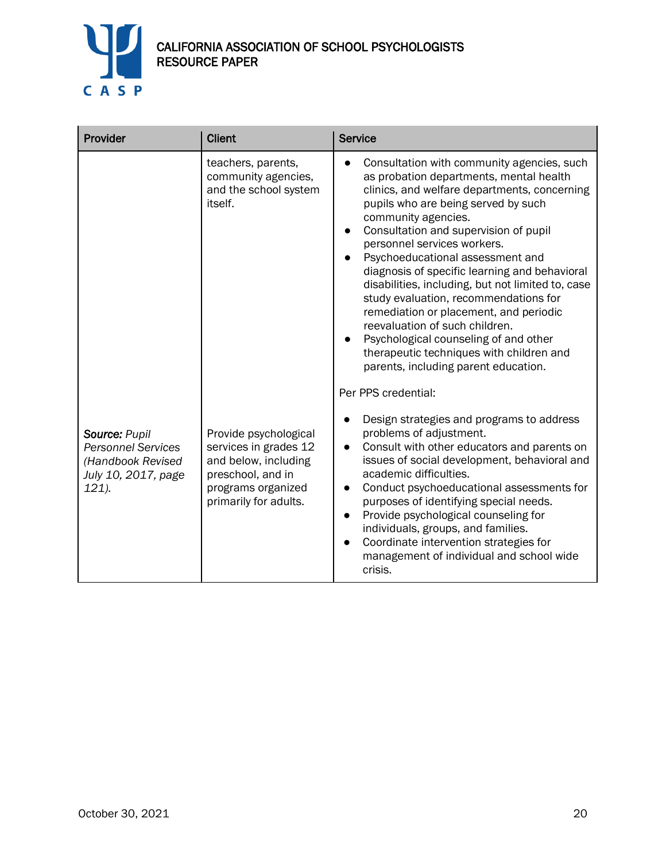

| Provider                                                                                        | <b>Client</b>                                                                                                                              | <b>Service</b>                                                                                                                                                                                                                                                                                                                                                                                                                                                                                                                                                                                                                                                          |
|-------------------------------------------------------------------------------------------------|--------------------------------------------------------------------------------------------------------------------------------------------|-------------------------------------------------------------------------------------------------------------------------------------------------------------------------------------------------------------------------------------------------------------------------------------------------------------------------------------------------------------------------------------------------------------------------------------------------------------------------------------------------------------------------------------------------------------------------------------------------------------------------------------------------------------------------|
|                                                                                                 | teachers, parents,<br>community agencies,<br>and the school system<br>itself.                                                              | Consultation with community agencies, such<br>as probation departments, mental health<br>clinics, and welfare departments, concerning<br>pupils who are being served by such<br>community agencies.<br>Consultation and supervision of pupil<br>personnel services workers.<br>Psychoeducational assessment and<br>diagnosis of specific learning and behavioral<br>disabilities, including, but not limited to, case<br>study evaluation, recommendations for<br>remediation or placement, and periodic<br>reevaluation of such children.<br>Psychological counseling of and other<br>therapeutic techniques with children and<br>parents, including parent education. |
| Source: Pupil<br><b>Personnel Services</b><br>(Handbook Revised<br>July 10, 2017, page<br>121). | Provide psychological<br>services in grades 12<br>and below, including<br>preschool, and in<br>programs organized<br>primarily for adults. | Per PPS credential:<br>Design strategies and programs to address<br>problems of adjustment.<br>Consult with other educators and parents on<br>$\bullet$<br>issues of social development, behavioral and<br>academic difficulties.<br>Conduct psychoeducational assessments for<br>purposes of identifying special needs.<br>Provide psychological counseling for<br>$\bullet$<br>individuals, groups, and families.<br>Coordinate intervention strategies for<br>$\bullet$<br>management of individual and school wide<br>crisis.                                                                                                                                       |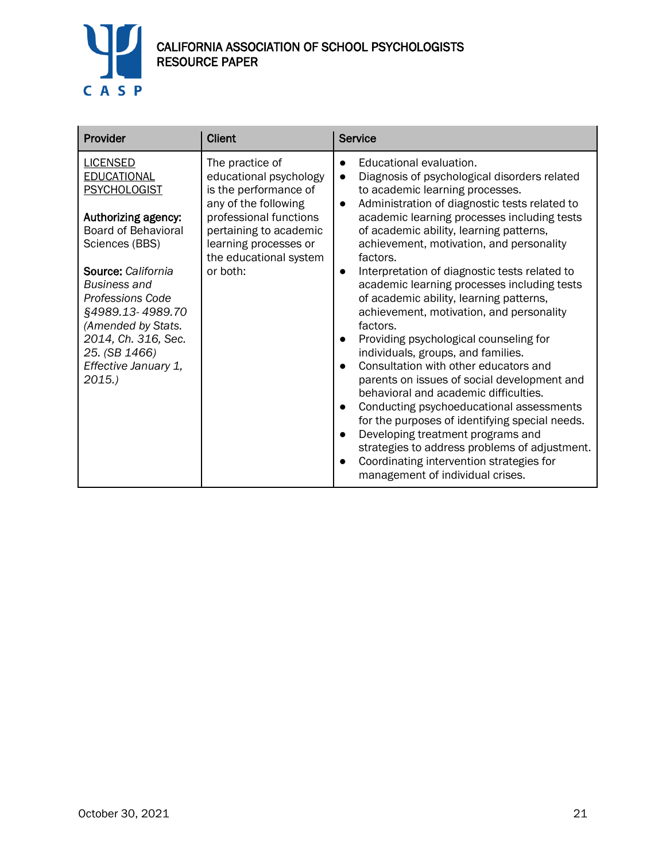

| Provider                                                                                                                                                                                                                                                                                                                | <b>Client</b>                                                                                                                                                                                                 | <b>Service</b>                                                                                                                                                                                                                                                                                                                                                                                                                                                                                                                                                                                                                                                                                                                                                                                                                                                                                                                                                                                                                               |
|-------------------------------------------------------------------------------------------------------------------------------------------------------------------------------------------------------------------------------------------------------------------------------------------------------------------------|---------------------------------------------------------------------------------------------------------------------------------------------------------------------------------------------------------------|----------------------------------------------------------------------------------------------------------------------------------------------------------------------------------------------------------------------------------------------------------------------------------------------------------------------------------------------------------------------------------------------------------------------------------------------------------------------------------------------------------------------------------------------------------------------------------------------------------------------------------------------------------------------------------------------------------------------------------------------------------------------------------------------------------------------------------------------------------------------------------------------------------------------------------------------------------------------------------------------------------------------------------------------|
| <b>LICENSED</b><br><b>EDUCATIONAL</b><br><b>PSYCHOLOGIST</b><br>Authorizing agency:<br><b>Board of Behavioral</b><br>Sciences (BBS)<br>Source: California<br>Business and<br><b>Professions Code</b><br>§4989.13-4989.70<br>(Amended by Stats.<br>2014, Ch. 316, Sec.<br>25. (SB 1466)<br>Effective January 1,<br>2015. | The practice of<br>educational psychology<br>is the performance of<br>any of the following<br>professional functions<br>pertaining to academic<br>learning processes or<br>the educational system<br>or both: | Educational evaluation.<br>$\bullet$<br>Diagnosis of psychological disorders related<br>$\bullet$<br>to academic learning processes.<br>Administration of diagnostic tests related to<br>$\bullet$<br>academic learning processes including tests<br>of academic ability, learning patterns,<br>achievement, motivation, and personality<br>factors.<br>Interpretation of diagnostic tests related to<br>academic learning processes including tests<br>of academic ability, learning patterns,<br>achievement, motivation, and personality<br>factors.<br>Providing psychological counseling for<br>individuals, groups, and families.<br>Consultation with other educators and<br>parents on issues of social development and<br>behavioral and academic difficulties.<br>Conducting psychoeducational assessments<br>for the purposes of identifying special needs.<br>Developing treatment programs and<br>strategies to address problems of adjustment.<br>Coordinating intervention strategies for<br>management of individual crises. |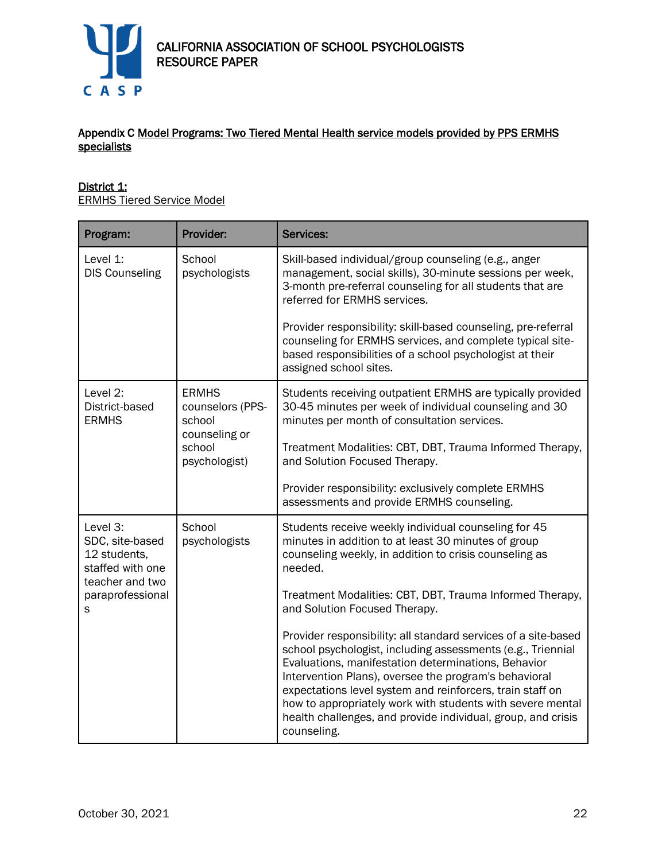

## Appendix C Model Programs: Two Tiered Mental Health service models provided by PPS ERMHS specialists

## District 1:

ERMHS Tiered Service Model

| Program:                                                                           | Provider:                                                   | <b>Services:</b>                                                                                                                                                                                                                                                                                                                                                                                                                                        |
|------------------------------------------------------------------------------------|-------------------------------------------------------------|---------------------------------------------------------------------------------------------------------------------------------------------------------------------------------------------------------------------------------------------------------------------------------------------------------------------------------------------------------------------------------------------------------------------------------------------------------|
| Level 1:<br><b>DIS Counseling</b>                                                  | School<br>psychologists                                     | Skill-based individual/group counseling (e.g., anger<br>management, social skills), 30-minute sessions per week,<br>3-month pre-referral counseling for all students that are<br>referred for ERMHS services.                                                                                                                                                                                                                                           |
|                                                                                    |                                                             | Provider responsibility: skill-based counseling, pre-referral<br>counseling for ERMHS services, and complete typical site-<br>based responsibilities of a school psychologist at their<br>assigned school sites.                                                                                                                                                                                                                                        |
| Level 2:<br>District-based<br><b>ERMHS</b>                                         | <b>ERMHS</b><br>counselors (PPS-<br>school<br>counseling or | Students receiving outpatient ERMHS are typically provided<br>30-45 minutes per week of individual counseling and 30<br>minutes per month of consultation services.                                                                                                                                                                                                                                                                                     |
|                                                                                    | school<br>psychologist)                                     | Treatment Modalities: CBT, DBT, Trauma Informed Therapy,<br>and Solution Focused Therapy.                                                                                                                                                                                                                                                                                                                                                               |
|                                                                                    |                                                             | Provider responsibility: exclusively complete ERMHS<br>assessments and provide ERMHS counseling.                                                                                                                                                                                                                                                                                                                                                        |
| Level 3:<br>SDC, site-based<br>12 students,<br>staffed with one<br>teacher and two | School<br>psychologists                                     | Students receive weekly individual counseling for 45<br>minutes in addition to at least 30 minutes of group<br>counseling weekly, in addition to crisis counseling as<br>needed.                                                                                                                                                                                                                                                                        |
| paraprofessional<br>S                                                              |                                                             | Treatment Modalities: CBT, DBT, Trauma Informed Therapy,<br>and Solution Focused Therapy.                                                                                                                                                                                                                                                                                                                                                               |
|                                                                                    |                                                             | Provider responsibility: all standard services of a site-based<br>school psychologist, including assessments (e.g., Triennial<br>Evaluations, manifestation determinations, Behavior<br>Intervention Plans), oversee the program's behavioral<br>expectations level system and reinforcers, train staff on<br>how to appropriately work with students with severe mental<br>health challenges, and provide individual, group, and crisis<br>counseling. |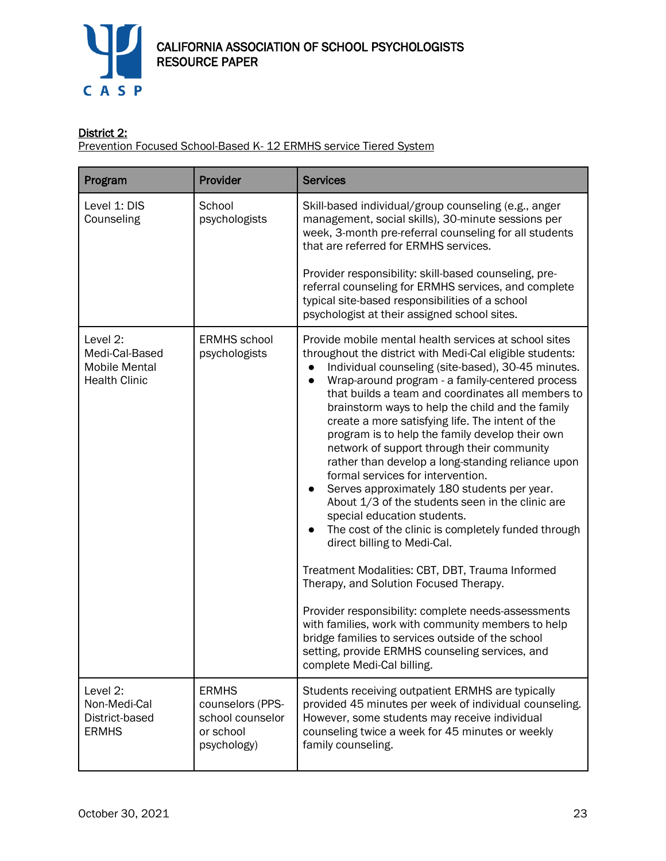

# District 2:

**Prevention Focused School-Based K- 12 ERMHS service Tiered System** 

| Program                                                                    | Provider                                                                         | <b>Services</b>                                                                                                                                                                                                                                                                                                                                                                                                                                                                                                                                                                                                                                                                                                                                                                                                                                                                                                                                                                                                                                                                                                                                                         |
|----------------------------------------------------------------------------|----------------------------------------------------------------------------------|-------------------------------------------------------------------------------------------------------------------------------------------------------------------------------------------------------------------------------------------------------------------------------------------------------------------------------------------------------------------------------------------------------------------------------------------------------------------------------------------------------------------------------------------------------------------------------------------------------------------------------------------------------------------------------------------------------------------------------------------------------------------------------------------------------------------------------------------------------------------------------------------------------------------------------------------------------------------------------------------------------------------------------------------------------------------------------------------------------------------------------------------------------------------------|
| Level 1: DIS<br>Counseling                                                 | School<br>psychologists                                                          | Skill-based individual/group counseling (e.g., anger<br>management, social skills), 30-minute sessions per<br>week, 3-month pre-referral counseling for all students<br>that are referred for ERMHS services.<br>Provider responsibility: skill-based counseling, pre-<br>referral counseling for ERMHS services, and complete<br>typical site-based responsibilities of a school<br>psychologist at their assigned school sites.                                                                                                                                                                                                                                                                                                                                                                                                                                                                                                                                                                                                                                                                                                                                       |
| Level 2:<br>Medi-Cal-Based<br><b>Mobile Mental</b><br><b>Health Clinic</b> | <b>ERMHS</b> school<br>psychologists                                             | Provide mobile mental health services at school sites<br>throughout the district with Medi-Cal eligible students:<br>Individual counseling (site-based), 30-45 minutes.<br>Wrap-around program - a family-centered process<br>$\bullet$<br>that builds a team and coordinates all members to<br>brainstorm ways to help the child and the family<br>create a more satisfying life. The intent of the<br>program is to help the family develop their own<br>network of support through their community<br>rather than develop a long-standing reliance upon<br>formal services for intervention.<br>Serves approximately 180 students per year.<br>About 1/3 of the students seen in the clinic are<br>special education students.<br>The cost of the clinic is completely funded through<br>direct billing to Medi-Cal.<br>Treatment Modalities: CBT, DBT, Trauma Informed<br>Therapy, and Solution Focused Therapy.<br>Provider responsibility: complete needs-assessments<br>with families, work with community members to help<br>bridge families to services outside of the school<br>setting, provide ERMHS counseling services, and<br>complete Medi-Cal billing. |
| Level 2:<br>Non-Medi-Cal<br>District-based<br><b>ERMHS</b>                 | <b>ERMHS</b><br>counselors (PPS-<br>school counselor<br>or school<br>psychology) | Students receiving outpatient ERMHS are typically<br>provided 45 minutes per week of individual counseling.<br>However, some students may receive individual<br>counseling twice a week for 45 minutes or weekly<br>family counseling.                                                                                                                                                                                                                                                                                                                                                                                                                                                                                                                                                                                                                                                                                                                                                                                                                                                                                                                                  |